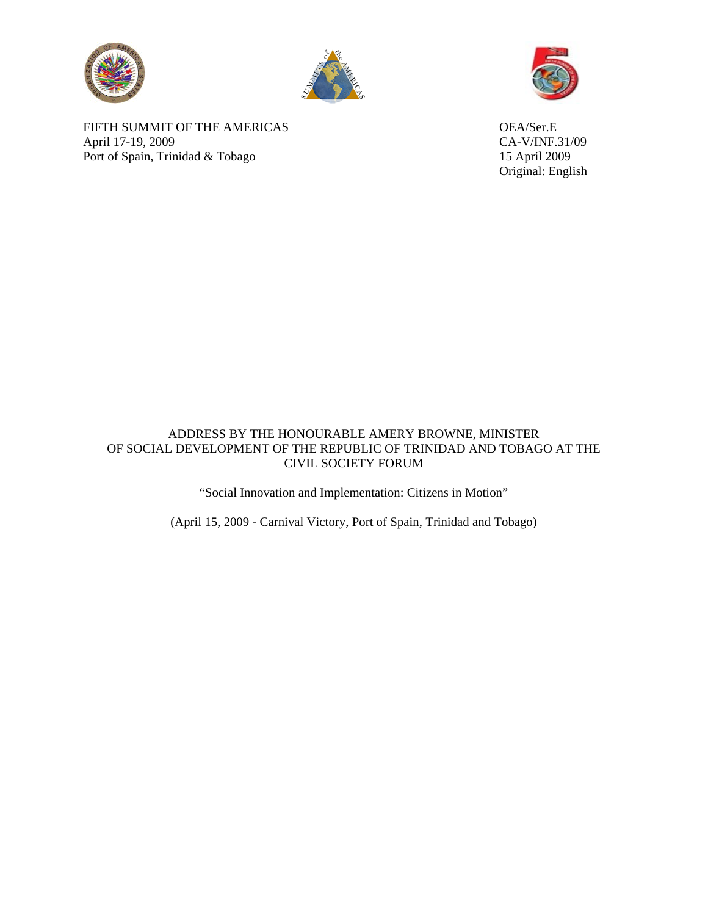





FIFTH SUMMIT OF THE AMERICAS OEA/Ser.E April 17-19, 2009 CA-V/INF.31/09 Port of Spain, Trinidad & Tobago 15 April 2009

Original: English

## ADDRESS BY THE HONOURABLE AMERY BROWNE, MINISTER OF SOCIAL DEVELOPMENT OF THE REPUBLIC OF TRINIDAD AND TOBAGO AT THE CIVIL SOCIETY FORUM

"Social Innovation and Implementation: Citizens in Motion"

(April 15, 2009 - Carnival Victory, Port of Spain, Trinidad and Tobago)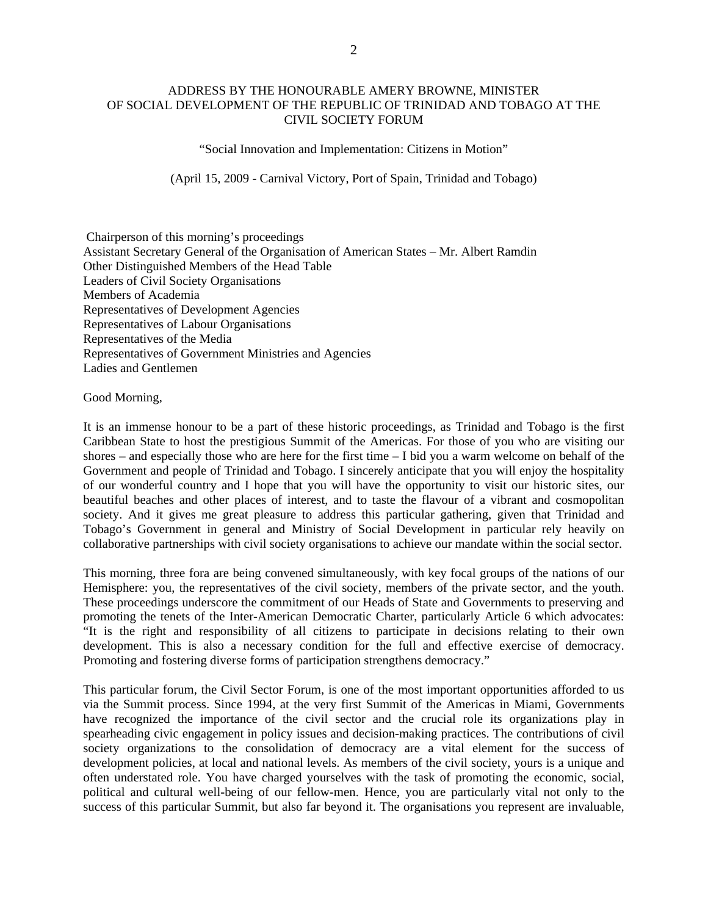## ADDRESS BY THE HONOURABLE AMERY BROWNE, MINISTER OF SOCIAL DEVELOPMENT OF THE REPUBLIC OF TRINIDAD AND TOBAGO AT THE CIVIL SOCIETY FORUM

"Social Innovation and Implementation: Citizens in Motion"

(April 15, 2009 - Carnival Victory, Port of Spain, Trinidad and Tobago)

 Chairperson of this morning's proceedings Assistant Secretary General of the Organisation of American States – Mr. Albert Ramdin Other Distinguished Members of the Head Table Leaders of Civil Society Organisations Members of Academia Representatives of Development Agencies Representatives of Labour Organisations Representatives of the Media Representatives of Government Ministries and Agencies Ladies and Gentlemen

Good Morning,

It is an immense honour to be a part of these historic proceedings, as Trinidad and Tobago is the first Caribbean State to host the prestigious Summit of the Americas. For those of you who are visiting our shores – and especially those who are here for the first time – I bid you a warm welcome on behalf of the Government and people of Trinidad and Tobago. I sincerely anticipate that you will enjoy the hospitality of our wonderful country and I hope that you will have the opportunity to visit our historic sites, our beautiful beaches and other places of interest, and to taste the flavour of a vibrant and cosmopolitan society. And it gives me great pleasure to address this particular gathering, given that Trinidad and Tobago's Government in general and Ministry of Social Development in particular rely heavily on collaborative partnerships with civil society organisations to achieve our mandate within the social sector.

This morning, three fora are being convened simultaneously, with key focal groups of the nations of our Hemisphere: you, the representatives of the civil society, members of the private sector, and the youth. These proceedings underscore the commitment of our Heads of State and Governments to preserving and promoting the tenets of the Inter-American Democratic Charter, particularly Article 6 which advocates: "It is the right and responsibility of all citizens to participate in decisions relating to their own development. This is also a necessary condition for the full and effective exercise of democracy. Promoting and fostering diverse forms of participation strengthens democracy."

This particular forum, the Civil Sector Forum, is one of the most important opportunities afforded to us via the Summit process. Since 1994, at the very first Summit of the Americas in Miami, Governments have recognized the importance of the civil sector and the crucial role its organizations play in spearheading civic engagement in policy issues and decision-making practices. The contributions of civil society organizations to the consolidation of democracy are a vital element for the success of development policies, at local and national levels. As members of the civil society, yours is a unique and often understated role. You have charged yourselves with the task of promoting the economic, social, political and cultural well-being of our fellow-men. Hence, you are particularly vital not only to the success of this particular Summit, but also far beyond it. The organisations you represent are invaluable,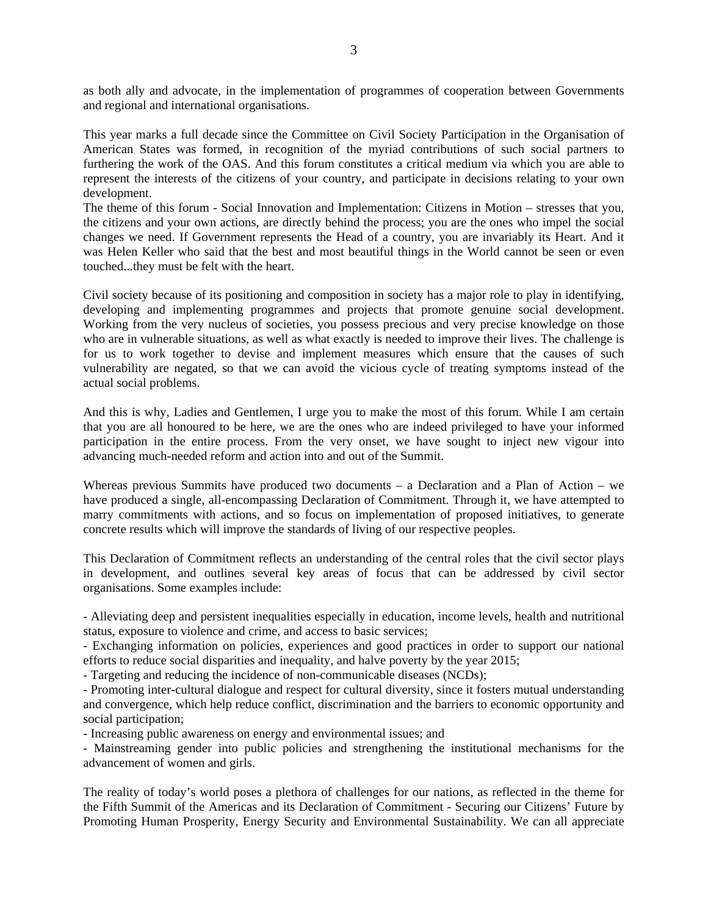as both ally and advocate, in the implementation of programmes of cooperation between Governments and regional and international organisations.

This year marks a full decade since the Committee on Civil Society Participation in the Organisation of American States was formed, in recognition of the myriad contributions of such social partners to furthering the work of the OAS. And this forum constitutes a critical medium via which you are able to represent the interests of the citizens of your country, and participate in decisions relating to your own development.

The theme of this forum - Social Innovation and Implementation: Citizens in Motion – stresses that you, the citizens and your own actions, are directly behind the process; you are the ones who impel the social changes we need. If Government represents the Head of a country, you are invariably its Heart. And it was Helen Keller who said that the best and most beautiful things in the World cannot be seen or even touched...they must be felt with the heart.

Civil society because of its positioning and composition in society has a major role to play in identifying, developing and implementing programmes and projects that promote genuine social development. Working from the very nucleus of societies, you possess precious and very precise knowledge on those who are in vulnerable situations, as well as what exactly is needed to improve their lives. The challenge is for us to work together to devise and implement measures which ensure that the causes of such vulnerability are negated, so that we can avoid the vicious cycle of treating symptoms instead of the actual social problems.

And this is why, Ladies and Gentlemen, I urge you to make the most of this forum. While I am certain that you are all honoured to be here, we are the ones who are indeed privileged to have your informed participation in the entire process. From the very onset, we have sought to inject new vigour into advancing much-needed reform and action into and out of the Summit.

Whereas previous Summits have produced two documents – a Declaration and a Plan of Action – we have produced a single, all-encompassing Declaration of Commitment. Through it, we have attempted to marry commitments with actions, and so focus on implementation of proposed initiatives, to generate concrete results which will improve the standards of living of our respective peoples.

This Declaration of Commitment reflects an understanding of the central roles that the civil sector plays in development, and outlines several key areas of focus that can be addressed by civil sector organisations. Some examples include:

- Alleviating deep and persistent inequalities especially in education, income levels, health and nutritional status, exposure to violence and crime, and access to basic services;

- Exchanging information on policies, experiences and good practices in order to support our national efforts to reduce social disparities and inequality, and halve poverty by the year 2015;

- Targeting and reducing the incidence of non-communicable diseases (NCDs);

- Promoting inter-cultural dialogue and respect for cultural diversity, since it fosters mutual understanding and convergence, which help reduce conflict, discrimination and the barriers to economic opportunity and social participation;

- Increasing public awareness on energy and environmental issues; and

- Mainstreaming gender into public policies and strengthening the institutional mechanisms for the advancement of women and girls.

The reality of today's world poses a plethora of challenges for our nations, as reflected in the theme for the Fifth Summit of the Americas and its Declaration of Commitment - Securing our Citizens' Future by Promoting Human Prosperity, Energy Security and Environmental Sustainability. We can all appreciate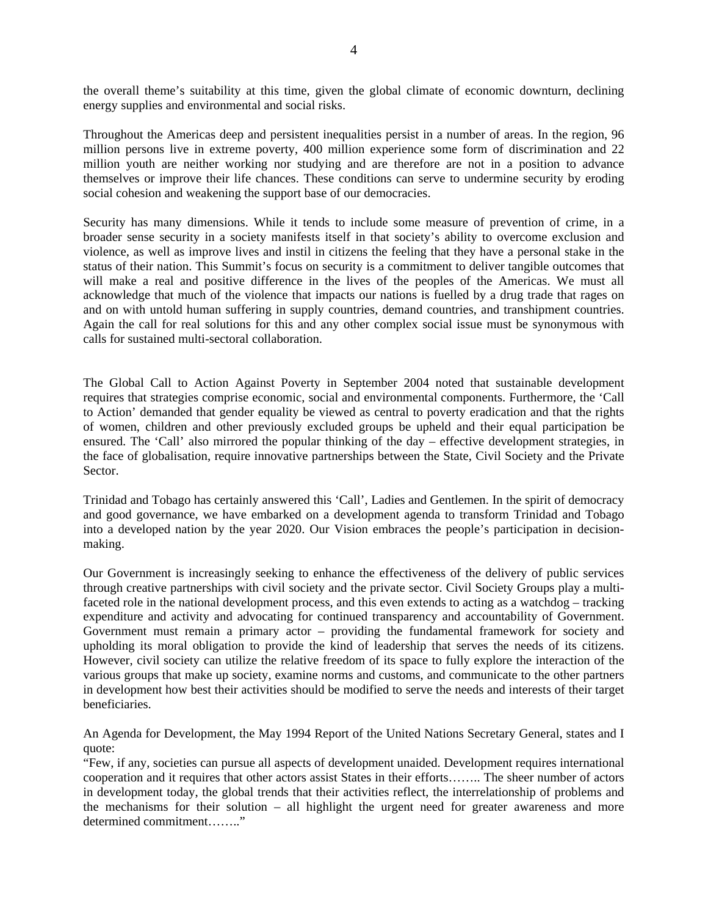the overall theme's suitability at this time, given the global climate of economic downturn, declining energy supplies and environmental and social risks.

Throughout the Americas deep and persistent inequalities persist in a number of areas. In the region, 96 million persons live in extreme poverty, 400 million experience some form of discrimination and 22 million youth are neither working nor studying and are therefore are not in a position to advance themselves or improve their life chances. These conditions can serve to undermine security by eroding social cohesion and weakening the support base of our democracies.

Security has many dimensions. While it tends to include some measure of prevention of crime, in a broader sense security in a society manifests itself in that society's ability to overcome exclusion and violence, as well as improve lives and instil in citizens the feeling that they have a personal stake in the status of their nation. This Summit's focus on security is a commitment to deliver tangible outcomes that will make a real and positive difference in the lives of the peoples of the Americas. We must all acknowledge that much of the violence that impacts our nations is fuelled by a drug trade that rages on and on with untold human suffering in supply countries, demand countries, and transhipment countries. Again the call for real solutions for this and any other complex social issue must be synonymous with calls for sustained multi-sectoral collaboration.

The Global Call to Action Against Poverty in September 2004 noted that sustainable development requires that strategies comprise economic, social and environmental components. Furthermore, the 'Call to Action' demanded that gender equality be viewed as central to poverty eradication and that the rights of women, children and other previously excluded groups be upheld and their equal participation be ensured. The 'Call' also mirrored the popular thinking of the day – effective development strategies, in the face of globalisation, require innovative partnerships between the State, Civil Society and the Private Sector.

Trinidad and Tobago has certainly answered this 'Call', Ladies and Gentlemen. In the spirit of democracy and good governance, we have embarked on a development agenda to transform Trinidad and Tobago into a developed nation by the year 2020. Our Vision embraces the people's participation in decisionmaking.

Our Government is increasingly seeking to enhance the effectiveness of the delivery of public services through creative partnerships with civil society and the private sector. Civil Society Groups play a multifaceted role in the national development process, and this even extends to acting as a watchdog – tracking expenditure and activity and advocating for continued transparency and accountability of Government. Government must remain a primary actor – providing the fundamental framework for society and upholding its moral obligation to provide the kind of leadership that serves the needs of its citizens. However, civil society can utilize the relative freedom of its space to fully explore the interaction of the various groups that make up society, examine norms and customs, and communicate to the other partners in development how best their activities should be modified to serve the needs and interests of their target beneficiaries.

An Agenda for Development, the May 1994 Report of the United Nations Secretary General, states and I quote:

"Few, if any, societies can pursue all aspects of development unaided. Development requires international cooperation and it requires that other actors assist States in their efforts…….. The sheer number of actors in development today, the global trends that their activities reflect, the interrelationship of problems and the mechanisms for their solution – all highlight the urgent need for greater awareness and more determined commitment…….."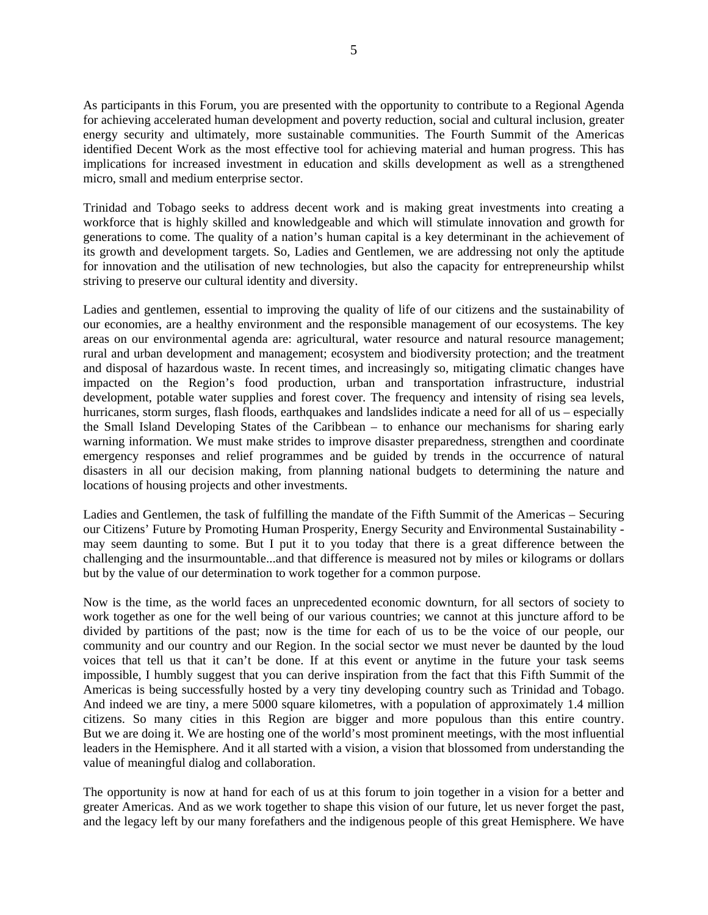As participants in this Forum, you are presented with the opportunity to contribute to a Regional Agenda for achieving accelerated human development and poverty reduction, social and cultural inclusion, greater energy security and ultimately, more sustainable communities. The Fourth Summit of the Americas identified Decent Work as the most effective tool for achieving material and human progress. This has implications for increased investment in education and skills development as well as a strengthened micro, small and medium enterprise sector.

Trinidad and Tobago seeks to address decent work and is making great investments into creating a workforce that is highly skilled and knowledgeable and which will stimulate innovation and growth for generations to come. The quality of a nation's human capital is a key determinant in the achievement of its growth and development targets. So, Ladies and Gentlemen, we are addressing not only the aptitude for innovation and the utilisation of new technologies, but also the capacity for entrepreneurship whilst striving to preserve our cultural identity and diversity.

Ladies and gentlemen, essential to improving the quality of life of our citizens and the sustainability of our economies, are a healthy environment and the responsible management of our ecosystems. The key areas on our environmental agenda are: agricultural, water resource and natural resource management; rural and urban development and management; ecosystem and biodiversity protection; and the treatment and disposal of hazardous waste. In recent times, and increasingly so, mitigating climatic changes have impacted on the Region's food production, urban and transportation infrastructure, industrial development, potable water supplies and forest cover. The frequency and intensity of rising sea levels, hurricanes, storm surges, flash floods, earthquakes and landslides indicate a need for all of us – especially the Small Island Developing States of the Caribbean – to enhance our mechanisms for sharing early warning information. We must make strides to improve disaster preparedness, strengthen and coordinate emergency responses and relief programmes and be guided by trends in the occurrence of natural disasters in all our decision making, from planning national budgets to determining the nature and locations of housing projects and other investments.

Ladies and Gentlemen, the task of fulfilling the mandate of the Fifth Summit of the Americas – Securing our Citizens' Future by Promoting Human Prosperity, Energy Security and Environmental Sustainability may seem daunting to some. But I put it to you today that there is a great difference between the challenging and the insurmountable...and that difference is measured not by miles or kilograms or dollars but by the value of our determination to work together for a common purpose.

Now is the time, as the world faces an unprecedented economic downturn, for all sectors of society to work together as one for the well being of our various countries; we cannot at this juncture afford to be divided by partitions of the past; now is the time for each of us to be the voice of our people, our community and our country and our Region. In the social sector we must never be daunted by the loud voices that tell us that it can't be done. If at this event or anytime in the future your task seems impossible, I humbly suggest that you can derive inspiration from the fact that this Fifth Summit of the Americas is being successfully hosted by a very tiny developing country such as Trinidad and Tobago. And indeed we are tiny, a mere 5000 square kilometres, with a population of approximately 1.4 million citizens. So many cities in this Region are bigger and more populous than this entire country. But we are doing it. We are hosting one of the world's most prominent meetings, with the most influential leaders in the Hemisphere. And it all started with a vision, a vision that blossomed from understanding the value of meaningful dialog and collaboration.

The opportunity is now at hand for each of us at this forum to join together in a vision for a better and greater Americas. And as we work together to shape this vision of our future, let us never forget the past, and the legacy left by our many forefathers and the indigenous people of this great Hemisphere. We have